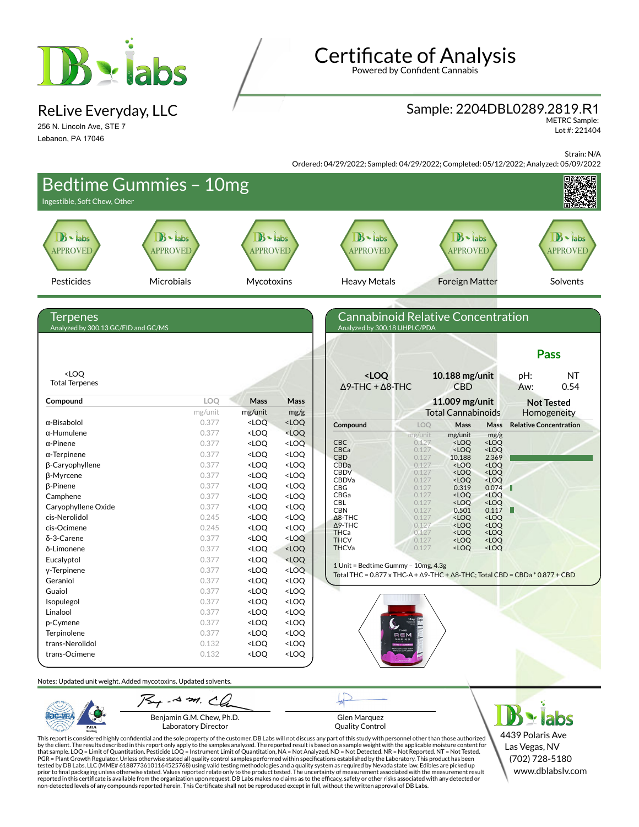

ReLive Everyday, LLC

256 N. Lincoln Ave, STE 7 Lebanon, PA 17046

# **Certificate of Analysis**

Powered by Confident Cannabis

### Sample: 2204DBL0289.2819.R1

METRC Sample: Lot #: 221404

Strain: N/A

Ordered: 04/29/2022; Sampled: 04/29/2022; Completed: 05/12/2022; Analyzed: 05/09/2022

| Ingestible, Soft Chew, Other                    | <b>Bedtime Gummies - 10mg</b>                                   |                                                                                                                                                                                                                                                                    |                                                                                                                                                                                                                                        | dei ed. 04/2 7/2022, Jampied. 04/2 7/2022, Completed. 03/12/2022, Analyzed. 03 |                |                                                                                            |                                               |                                                                                                      |
|-------------------------------------------------|-----------------------------------------------------------------|--------------------------------------------------------------------------------------------------------------------------------------------------------------------------------------------------------------------------------------------------------------------|----------------------------------------------------------------------------------------------------------------------------------------------------------------------------------------------------------------------------------------|--------------------------------------------------------------------------------|----------------|--------------------------------------------------------------------------------------------|-----------------------------------------------|------------------------------------------------------------------------------------------------------|
| $B -$ labs<br><b>APPROVED</b>                   | $B -$ labs<br><b>APPROVED</b>                                   | $B \cdot$ labs<br><b>APPROVED</b>                                                                                                                                                                                                                                  |                                                                                                                                                                                                                                        | $B \cdot$ labs<br><b>APPROVED</b>                                              |                | $\mathbf{B}$<br>labs<br><b>APPROVED</b>                                                    |                                               | $B \cdot$ labs<br><b>APPROVED</b>                                                                    |
| Pesticides                                      | Microbials                                                      | Mycotoxins                                                                                                                                                                                                                                                         |                                                                                                                                                                                                                                        | <b>Heavy Metals</b>                                                            |                | <b>Foreign Matter</b>                                                                      |                                               | Solvents                                                                                             |
| Terpenes<br>Analyzed by 300.13 GC/FID and GC/MS |                                                                 |                                                                                                                                                                                                                                                                    |                                                                                                                                                                                                                                        | <b>Cannabinoid Relative Concentration</b><br>Analyzed by 300.18 UHPLC/PDA      |                |                                                                                            |                                               | <b>Pass</b>                                                                                          |
| <loq<br><b>Total Terpenes</b></loq<br>          |                                                                 |                                                                                                                                                                                                                                                                    |                                                                                                                                                                                                                                        | <loq<br><math>\Delta</math>9-THC + <math>\Delta</math>8-THC</loq<br>           |                | 10.188 mg/unit<br><b>CBD</b>                                                               |                                               | <b>NT</b><br>pH:<br>0.54<br>Aw:                                                                      |
| Compound                                        | LOQ                                                             | Mass                                                                                                                                                                                                                                                               | <b>Mass</b>                                                                                                                                                                                                                            |                                                                                |                | 11.009 mg/unit                                                                             |                                               | <b>Not Tested</b>                                                                                    |
|                                                 | mg/unit                                                         | mg/unit                                                                                                                                                                                                                                                            | mg/g                                                                                                                                                                                                                                   |                                                                                |                | <b>Total Cannabinoids</b>                                                                  |                                               | Homogeneity                                                                                          |
| $\alpha$ -Bisabolol                             | 0.377                                                           | <loq< td=""><td><math>&lt;</math>LOQ</td><td>Compound</td><td>LOQ</td><td>Mass</td><td><b>Mass</b></td><td><b>Relative Concentration</b></td></loq<>                                                                                                               | $<$ LOQ                                                                                                                                                                                                                                | Compound                                                                       | LOQ            | Mass                                                                                       | <b>Mass</b>                                   | <b>Relative Concentration</b>                                                                        |
| $\alpha$ -Humulene                              | 0.377                                                           | <loq< td=""><td><loq< td=""><td></td><td>mg/unit</td><td>mg/unit</td><td>mg/g</td><td></td></loq<></td></loq<>                                                                                                                                                     | <loq< td=""><td></td><td>mg/unit</td><td>mg/unit</td><td>mg/g</td><td></td></loq<>                                                                                                                                                     |                                                                                | mg/unit        | mg/unit                                                                                    | mg/g                                          |                                                                                                      |
| $\alpha$ -Pinene                                | 0.377                                                           | <loq< td=""><td><loq< td=""><td><b>CBC</b></td><td>0.127</td><td><loq< td=""><td><math>&lt;</math>LOQ</td><td></td></loq<></td></loq<></td></loq<>                                                                                                                 | <loq< td=""><td><b>CBC</b></td><td>0.127</td><td><loq< td=""><td><math>&lt;</math>LOQ</td><td></td></loq<></td></loq<>                                                                                                                 | <b>CBC</b>                                                                     | 0.127          | <loq< td=""><td><math>&lt;</math>LOQ</td><td></td></loq<>                                  | $<$ LOQ                                       |                                                                                                      |
| $\alpha$ -Terpinene                             | 0.377                                                           | <loq< td=""><td><loq< td=""><td>CBCa<br/><b>CBD</b></td><td>0.127<br/>0.127</td><td><loq<br>10.188</loq<br></td><td><loq<br>2.369</loq<br></td><td></td></loq<></td></loq<>                                                                                        | <loq< td=""><td>CBCa<br/><b>CBD</b></td><td>0.127<br/>0.127</td><td><loq<br>10.188</loq<br></td><td><loq<br>2.369</loq<br></td><td></td></loq<>                                                                                        | CBCa<br><b>CBD</b>                                                             | 0.127<br>0.127 | <loq<br>10.188</loq<br>                                                                    | <loq<br>2.369</loq<br>                        |                                                                                                      |
| <b>B-Caryophyllene</b>                          | 0.377                                                           | <loq< td=""><td><loq< td=""><td>CBDa</td><td>0.127</td><td><loq< td=""><td><loq< td=""><td></td></loq<></td></loq<></td></loq<></td></loq<>                                                                                                                        | <loq< td=""><td>CBDa</td><td>0.127</td><td><loq< td=""><td><loq< td=""><td></td></loq<></td></loq<></td></loq<>                                                                                                                        | CBDa                                                                           | 0.127          | <loq< td=""><td><loq< td=""><td></td></loq<></td></loq<>                                   | <loq< td=""><td></td></loq<>                  |                                                                                                      |
| β-Myrcene                                       | 0.377                                                           | <loq< td=""><td><loq< td=""><td><b>CBDV</b><br/>CBDVa</td><td>0.127<br/>0.127</td><td><loq<br><loq< td=""><td><loq<br><loq< td=""><td></td></loq<></loq<br></td></loq<></loq<br></td></loq<></td></loq<>                                                           | <loq< td=""><td><b>CBDV</b><br/>CBDVa</td><td>0.127<br/>0.127</td><td><loq<br><loq< td=""><td><loq<br><loq< td=""><td></td></loq<></loq<br></td></loq<></loq<br></td></loq<>                                                           | <b>CBDV</b><br>CBDVa                                                           | 0.127<br>0.127 | <loq<br><loq< td=""><td><loq<br><loq< td=""><td></td></loq<></loq<br></td></loq<></loq<br> | <loq<br><loq< td=""><td></td></loq<></loq<br> |                                                                                                      |
| β-Pinene                                        | 0.377                                                           | <loq< td=""><td><loq< td=""><td>CBG</td><td>0.127</td><td>0.319</td><td>0.074</td><td></td></loq<></td></loq<>                                                                                                                                                     | <loq< td=""><td>CBG</td><td>0.127</td><td>0.319</td><td>0.074</td><td></td></loq<>                                                                                                                                                     | CBG                                                                            | 0.127          | 0.319                                                                                      | 0.074                                         |                                                                                                      |
| Camphene                                        | 0.377                                                           | $<$ LOQ                                                                                                                                                                                                                                                            | <loq< td=""><td>CBGa</td><td>0.127</td><td><loq< td=""><td><loq< td=""><td></td></loq<></td></loq<></td></loq<>                                                                                                                        | CBGa                                                                           | 0.127          | <loq< td=""><td><loq< td=""><td></td></loq<></td></loq<>                                   | <loq< td=""><td></td></loq<>                  |                                                                                                      |
| Caryophyllene Oxide                             | 0.377                                                           | <loq< td=""><td><loq< td=""><td><b>CBL</b><br/><b>CBN</b></td><td>0.127<br/>0.127</td><td><loq<br>0.501</loq<br></td><td><loq<br>0.117</loq<br></td><td>Ш</td></loq<></td></loq<>                                                                                  | <loq< td=""><td><b>CBL</b><br/><b>CBN</b></td><td>0.127<br/>0.127</td><td><loq<br>0.501</loq<br></td><td><loq<br>0.117</loq<br></td><td>Ш</td></loq<>                                                                                  | <b>CBL</b><br><b>CBN</b>                                                       | 0.127<br>0.127 | <loq<br>0.501</loq<br>                                                                     | <loq<br>0.117</loq<br>                        | Ш                                                                                                    |
| cis-Nerolidol                                   | 0.245                                                           | <loq< td=""><td><loq< td=""><td><math>\Delta</math>8-THC</td><td>0.127</td><td><loq< td=""><td><loq< td=""><td></td></loq<></td></loq<></td></loq<></td></loq<>                                                                                                    | <loq< td=""><td><math>\Delta</math>8-THC</td><td>0.127</td><td><loq< td=""><td><loq< td=""><td></td></loq<></td></loq<></td></loq<>                                                                                                    | $\Delta$ 8-THC                                                                 | 0.127          | <loq< td=""><td><loq< td=""><td></td></loq<></td></loq<>                                   | <loq< td=""><td></td></loq<>                  |                                                                                                      |
| cis-Ocimene                                     | 0.245                                                           | <loq< td=""><td><loq< td=""><td><math>\Delta</math>9-THC<br/>THCa</td><td>0.127<br/>0.127</td><td><loq<br><loq< td=""><td><loq<br><loq< td=""><td></td></loq<></loq<br></td></loq<></loq<br></td></loq<></td></loq<>                                               | <loq< td=""><td><math>\Delta</math>9-THC<br/>THCa</td><td>0.127<br/>0.127</td><td><loq<br><loq< td=""><td><loq<br><loq< td=""><td></td></loq<></loq<br></td></loq<></loq<br></td></loq<>                                               | $\Delta$ 9-THC<br>THCa                                                         | 0.127<br>0.127 | <loq<br><loq< td=""><td><loq<br><loq< td=""><td></td></loq<></loq<br></td></loq<></loq<br> | <loq<br><loq< td=""><td></td></loq<></loq<br> |                                                                                                      |
| δ-3-Carene                                      | 0.377                                                           | <loq< td=""><td><loq< td=""><td><b>THCV</b></td><td>0.127</td><td><loq< td=""><td><loq< td=""><td></td></loq<></td></loq<></td></loq<></td></loq<>                                                                                                                 | <loq< td=""><td><b>THCV</b></td><td>0.127</td><td><loq< td=""><td><loq< td=""><td></td></loq<></td></loq<></td></loq<>                                                                                                                 | <b>THCV</b>                                                                    | 0.127          | <loq< td=""><td><loq< td=""><td></td></loq<></td></loq<>                                   | <loq< td=""><td></td></loq<>                  |                                                                                                      |
| δ-Limonene                                      | 0.377                                                           | <loq< td=""><td><loq< td=""><td><b>THCVa</b></td><td>0.127</td><td><loq< td=""><td><loq< td=""><td></td></loq<></td></loq<></td></loq<></td></loq<>                                                                                                                | <loq< td=""><td><b>THCVa</b></td><td>0.127</td><td><loq< td=""><td><loq< td=""><td></td></loq<></td></loq<></td></loq<>                                                                                                                | <b>THCVa</b>                                                                   | 0.127          | <loq< td=""><td><loq< td=""><td></td></loq<></td></loq<>                                   | <loq< td=""><td></td></loq<>                  |                                                                                                      |
| Eucalyptol                                      | 0.377                                                           | <loq< td=""><td><math>&lt;</math>LOQ</td><td></td><td></td><td></td><td></td><td></td></loq<>                                                                                                                                                                      | $<$ LOQ                                                                                                                                                                                                                                |                                                                                |                |                                                                                            |                                               |                                                                                                      |
| y-Terpinene                                     | 0.377                                                           | <loq< td=""><td><loq< td=""><td>1 Unit = Bedtime Gummy - 10mg, 4.3g</td><td></td><td></td><td></td><td>Total THC = <math>0.877 \times THC-A + \Delta 9</math>-THC + <math>\Delta 8</math>-THC; Total CBD = CBDa <math>*</math> 0.877 + CBD</td></loq<></td></loq<> | <loq< td=""><td>1 Unit = Bedtime Gummy - 10mg, 4.3g</td><td></td><td></td><td></td><td>Total THC = <math>0.877 \times THC-A + \Delta 9</math>-THC + <math>\Delta 8</math>-THC; Total CBD = CBDa <math>*</math> 0.877 + CBD</td></loq<> | 1 Unit = Bedtime Gummy - 10mg, 4.3g                                            |                |                                                                                            |                                               | Total THC = $0.877 \times THC-A + \Delta 9$ -THC + $\Delta 8$ -THC; Total CBD = CBDa $*$ 0.877 + CBD |
| Geraniol                                        | 0.377                                                           | <loq< td=""><td><loq< td=""><td></td><td></td><td></td><td></td><td></td></loq<></td></loq<>                                                                                                                                                                       | <loq< td=""><td></td><td></td><td></td><td></td><td></td></loq<>                                                                                                                                                                       |                                                                                |                |                                                                                            |                                               |                                                                                                      |
| Guaiol                                          | 0.377                                                           | <loq< td=""><td><loq< td=""><td></td><td></td><td></td><td></td><td></td></loq<></td></loq<>                                                                                                                                                                       | <loq< td=""><td></td><td></td><td></td><td></td><td></td></loq<>                                                                                                                                                                       |                                                                                |                |                                                                                            |                                               |                                                                                                      |
| Isopulegol                                      | 0.377                                                           | <loq< td=""><td><loq< td=""><td></td><td></td><td></td><td></td><td></td></loq<></td></loq<>                                                                                                                                                                       | <loq< td=""><td></td><td></td><td></td><td></td><td></td></loq<>                                                                                                                                                                       |                                                                                |                |                                                                                            |                                               |                                                                                                      |
| Linalool                                        | 0.377                                                           | <loq< td=""><td><loq< td=""><td></td><td></td><td></td><td></td><td></td></loq<></td></loq<>                                                                                                                                                                       | <loq< td=""><td></td><td></td><td></td><td></td><td></td></loq<>                                                                                                                                                                       |                                                                                |                |                                                                                            |                                               |                                                                                                      |
| p-Cymene                                        | 0.377                                                           | <loq< td=""><td><loq< td=""><td></td><td></td><td></td><td></td><td></td></loq<></td></loq<>                                                                                                                                                                       | <loq< td=""><td></td><td></td><td></td><td></td><td></td></loq<>                                                                                                                                                                       |                                                                                |                |                                                                                            |                                               |                                                                                                      |
| Terpinolene                                     | 0.377                                                           | $<$ LOQ                                                                                                                                                                                                                                                            | <loq< td=""><td></td><td></td><td></td><td></td><td></td></loq<>                                                                                                                                                                       |                                                                                |                |                                                                                            |                                               |                                                                                                      |
| trans-Nerolidol                                 | 0.132                                                           | <loq< td=""><td><loq< td=""><td></td><td></td><td></td><td></td><td></td></loq<></td></loq<>                                                                                                                                                                       | <loq< td=""><td></td><td></td><td></td><td></td><td></td></loq<>                                                                                                                                                                       |                                                                                |                |                                                                                            |                                               |                                                                                                      |
| trans-Ocimene                                   | 0.132                                                           | $<$ LOQ                                                                                                                                                                                                                                                            | <loq< td=""><td></td><td></td><td></td><td></td><td></td></loq<>                                                                                                                                                                       |                                                                                |                |                                                                                            |                                               |                                                                                                      |
|                                                 | Notes: Updated unit weight. Added mycotoxins. Updated solvents. |                                                                                                                                                                                                                                                                    |                                                                                                                                                                                                                                        |                                                                                |                |                                                                                            |                                               |                                                                                                      |
|                                                 | $754 - 43$ m. Ch                                                |                                                                                                                                                                                                                                                                    |                                                                                                                                                                                                                                        |                                                                                |                |                                                                                            |                                               |                                                                                                      |
|                                                 | Benjamin G.M. Chew, Ph.D.                                       |                                                                                                                                                                                                                                                                    |                                                                                                                                                                                                                                        | Glen Marquez                                                                   |                |                                                                                            |                                               | labs                                                                                                 |

Laboratory Director

**PJLA** 

Glen Marquez Quality Control

This report is considered highly confidential and the sole property of the customer. DB Labs will not discuss any part of this study with personnel other than those authorized<br>by the client. The results described in this r

4439 Polaris Ave Las Vegas, NV (702) 728-5180 www.dblabslv.com